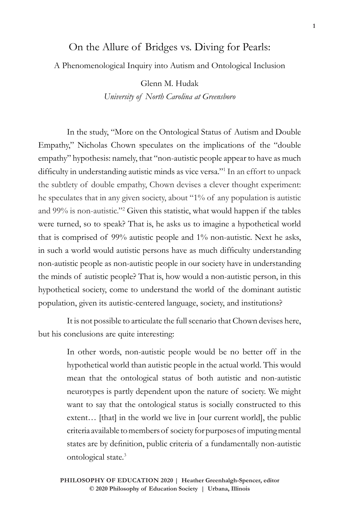## On the Allure of Bridges vs. Diving for Pearls:

## A Phenomenological Inquiry into Autism and Ontological Inclusion

Glenn M. Hudak *University of North Carolina at Greensboro*

In the study, "More on the Ontological Status of Autism and Double Empathy," Nicholas Chown speculates on the implications of the "double empathy" hypothesis: namely, that "non-autistic people appear to have as much difficulty in understanding autistic minds as vice versa."<sup>1</sup> In an effort to unpack the subtlety of double empathy, Chown devises a clever thought experiment: he speculates that in any given society, about "1% of any population is autistic and 99% is non-autistic."2 Given this statistic, what would happen if the tables were turned, so to speak? That is, he asks us to imagine a hypothetical world that is comprised of 99% autistic people and 1% non-autistic. Next he asks, in such a world would autistic persons have as much difficulty understanding non-autistic people as non-autistic people in our society have in understanding the minds of autistic people? That is, how would a non-autistic person, in this hypothetical society, come to understand the world of the dominant autistic population, given its autistic-centered language, society, and institutions?

It is not possible to articulate the full scenario that Chown devises here, but his conclusions are quite interesting:

> In other words, non-autistic people would be no better off in the hypothetical world than autistic people in the actual world. This would mean that the ontological status of both autistic and non-autistic neurotypes is partly dependent upon the nature of society. We might want to say that the ontological status is socially constructed to this extent... [that] in the world we live in [our current world], the public criteria available to members of society for purposes of imputing mental states are by definition, public criteria of a fundamentally non-autistic ontological state.3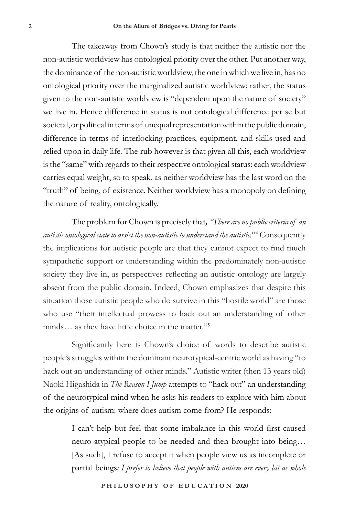The takeaway from Chown's study is that neither the autistic nor the non-autistic worldview has ontological priority over the other. Put another way, the dominance of the non-autistic worldview, the one in which we live in, has no ontological priority over the marginalized autistic worldview; rather, the status given to the non-autistic worldview is "dependent upon the nature of society" we live in. Hence difference in status is not ontological difference per se but societal, or political in terms of unequal representation within the public domain, difference in terms of interlocking practices, equipment, and skills used and relied upon in daily life. The rub however is that given all this, each worldview is the "same" with regards to their respective ontological status: each worldview carries equal weight, so to speak, as neither worldview has the last word on the "truth" of being, of existence. Neither worldview has a monopoly on defining the nature of reality, ontologically.

The problem for Chown is precisely that*, "There are no public criteria of an autistic ontological state to assist the non-autistic to understand the autistic.*"4 Consequently the implications for autistic people are that they cannot expect to find much sympathetic support or understanding within the predominately non-autistic society they live in, as perspectives reflecting an autistic ontology are largely absent from the public domain. Indeed, Chown emphasizes that despite this situation those autistic people who do survive in this "hostile world" are those who use "their intellectual prowess to hack out an understanding of other minds... as they have little choice in the matter."<sup>5</sup>

Significantly here is Chown's choice of words to describe autistic people's struggles within the dominant neurotypical-centric world as having "to hack out an understanding of other minds." Autistic writer (then 13 years old) Naoki Higashida in *The Reason I Jump* attempts to "hack out" an understanding of the neurotypical mind when he asks his readers to explore with him about the origins of autism: where does autism come from? He responds:

> I can't help but feel that some imbalance in this world first caused neuro-atypical people to be needed and then brought into being… [As such], I refuse to accept it when people view us as incomplete or partial beings*; I prefer to believe that people with autism are every bit as whole*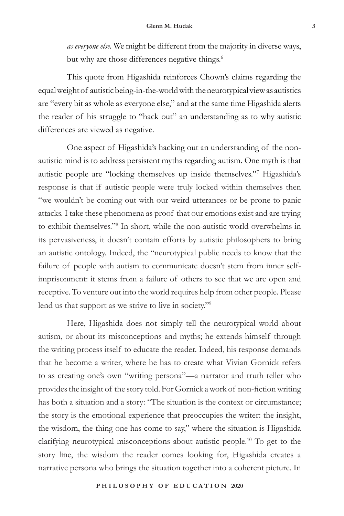*as everyone else.* We might be different from the majority in diverse ways, but why are those differences negative things.<sup>6</sup>

This quote from Higashida reinforces Chown's claims regarding the equal weight of autistic being-in-the-world with the neurotypical view as autistics are "every bit as whole as everyone else," and at the same time Higashida alerts the reader of his struggle to "hack out" an understanding as to why autistic differences are viewed as negative.

One aspect of Higashida's hacking out an understanding of the nonautistic mind is to address persistent myths regarding autism. One myth is that autistic people are "locking themselves up inside themselves."7 Higashida's response is that if autistic people were truly locked within themselves then "we wouldn't be coming out with our weird utterances or be prone to panic attacks. I take these phenomena as proof that our emotions exist and are trying to exhibit themselves."8 In short, while the non-autistic world overwhelms in its pervasiveness, it doesn't contain efforts by autistic philosophers to bring an autistic ontology. Indeed, the "neurotypical public needs to know that the failure of people with autism to communicate doesn't stem from inner selfimprisonment: it stems from a failure of others to see that we are open and receptive. To venture out into the world requires help from other people. Please lend us that support as we strive to live in society."9

Here, Higashida does not simply tell the neurotypical world about autism, or about its misconceptions and myths; he extends himself through the writing process itself to educate the reader. Indeed, his response demands that he become a writer, where he has to create what Vivian Gornick refers to as creating one's own "writing persona"—a narrator and truth teller who provides the insight of the story told. For Gornick a work of non-fiction writing has both a situation and a story: "The situation is the context or circumstance; the story is the emotional experience that preoccupies the writer: the insight, the wisdom, the thing one has come to say," where the situation is Higashida clarifying neurotypical misconceptions about autistic people.10 To get to the story line, the wisdom the reader comes looking for, Higashida creates a narrative persona who brings the situation together into a coherent picture. In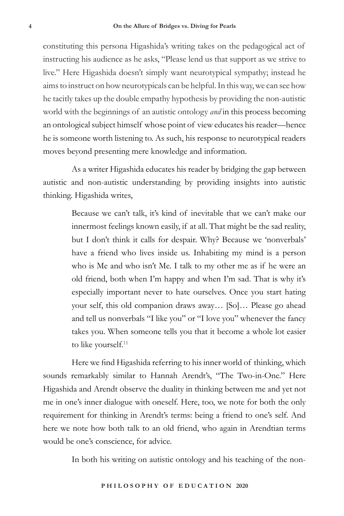constituting this persona Higashida's writing takes on the pedagogical act of instructing his audience as he asks, "Please lend us that support as we strive to live." Here Higashida doesn't simply want neurotypical sympathy; instead he aims to instruct on how neurotypicals can be helpful. In this way, we can see how he tacitly takes up the double empathy hypothesis by providing the non-autistic world with the beginnings of an autistic ontology *and* in this process becoming an ontological subject himself whose point of view educates his reader—hence he is someone worth listening to. As such, his response to neurotypical readers moves beyond presenting mere knowledge and information.

As a writer Higashida educates his reader by bridging the gap between autistic and non-autistic understanding by providing insights into autistic thinking. Higashida writes,

> Because we can't talk, it's kind of inevitable that we can't make our innermost feelings known easily, if at all. That might be the sad reality, but I don't think it calls for despair. Why? Because we 'nonverbals' have a friend who lives inside us. Inhabiting my mind is a person who is Me and who isn't Me. I talk to my other me as if he were an old friend, both when I'm happy and when I'm sad. That is why it's especially important never to hate ourselves. Once you start hating your self, this old companion draws away… [So]… Please go ahead and tell us nonverbals "I like you" or "I love you" whenever the fancy takes you. When someone tells you that it become a whole lot easier to like yourself.<sup>11</sup>

Here we find Higashida referring to his inner world of thinking, which sounds remarkably similar to Hannah Arendt's, "The Two-in-One." Here Higashida and Arendt observe the duality in thinking between me and yet not me in one's inner dialogue with oneself. Here, too, we note for both the only requirement for thinking in Arendt's terms: being a friend to one's self. And here we note how both talk to an old friend, who again in Arendtian terms would be one's conscience, for advice.

In both his writing on autistic ontology and his teaching of the non-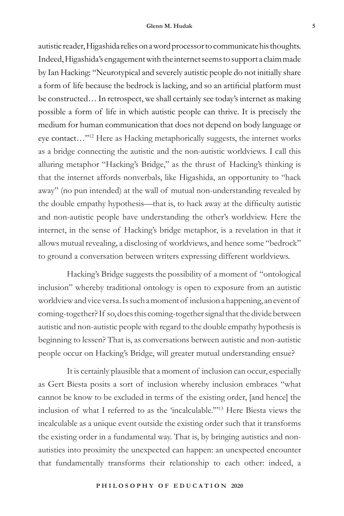autistic reader, Higashida relies on a word processor to communicate his thoughts. Indeed, Higashida's engagement with the internet seems to support a claim made by Ian Hacking: "Neurotypical and severely autistic people do not initially share a form of life because the bedrock is lacking, and so an artificial platform must be constructed… In retrospect, we shall certainly see today's internet as making possible a form of life in which autistic people can thrive. It is precisely the medium for human communication that does not depend on body language or eye contact…"12 Here as Hacking metaphorically suggests, the internet works as a bridge connecting the autistic and the non-autistic worldviews. I call this alluring metaphor "Hacking's Bridge," as the thrust of Hacking's thinking is that the internet affords nonverbals, like Higashida, an opportunity to "hack away" (no pun intended) at the wall of mutual non-understanding revealed by the double empathy hypothesis—that is, to hack away at the difficulty autistic and non-autistic people have understanding the other's worldview. Here the internet, in the sense of Hacking's bridge metaphor, is a revelation in that it allows mutual revealing, a disclosing of worldviews, and hence some "bedrock" to ground a conversation between writers expressing different worldviews.

Hacking's Bridge suggests the possibility of a moment of "ontological inclusion" whereby traditional ontology is open to exposure from an autistic worldview and vice versa. Is such a moment of inclusion a happening, an event of coming-together? If so, does this coming-together signal that the divide between autistic and non-autistic people with regard to the double empathy hypothesis is beginning to lessen? That is, as conversations between autistic and non-autistic people occur on Hacking's Bridge, will greater mutual understanding ensue?

It is certainly plausible that a moment of inclusion can occur, especially as Gert Biesta posits a sort of inclusion whereby inclusion embraces "what cannot be know to be excluded in terms of the existing order, [and hence] the inclusion of what I referred to as the 'incalculable.'"13 Here Biesta views the incalculable as a unique event outside the existing order such that it transforms the existing order in a fundamental way. That is, by bringing autistics and nonautistics into proximity the unexpected can happen: an unexpected encounter that fundamentally transforms their relationship to each other: indeed, a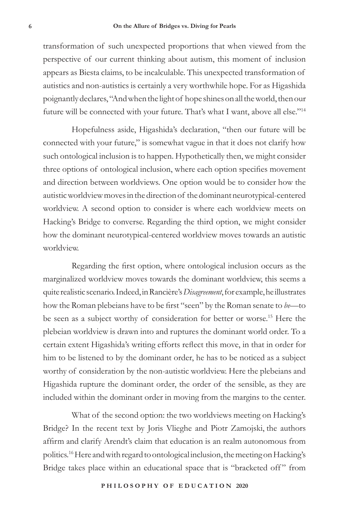transformation of such unexpected proportions that when viewed from the perspective of our current thinking about autism, this moment of inclusion appears as Biesta claims, to be incalculable. This unexpected transformation of autistics and non-autistics is certainly a very worthwhile hope. For as Higashida poignantly declares, "And when the light of hope shines on all the world, then our future will be connected with your future. That's what I want, above all else."14

Hopefulness aside, Higashida's declaration, "then our future will be connected with your future," is somewhat vague in that it does not clarify how such ontological inclusion is to happen. Hypothetically then, we might consider three options of ontological inclusion, where each option specifies movement and direction between worldviews. One option would be to consider how the autistic worldview moves in the direction of the dominant neurotypical-centered worldview. A second option to consider is where each worldview meets on Hacking's Bridge to converse. Regarding the third option, we might consider how the dominant neurotypical-centered worldview moves towards an autistic worldview.

Regarding the first option, where ontological inclusion occurs as the marginalized worldview moves towards the dominant worldview, this seems a quite realistic scenario. Indeed, in Rancière's *Disagreement*, for example, he illustrates how the Roman plebeians have to be first "seen" by the Roman senate to *be*—to be seen as a subject worthy of consideration for better or worse.15 Here the plebeian worldview is drawn into and ruptures the dominant world order. To a certain extent Higashida's writing efforts reflect this move, in that in order for him to be listened to by the dominant order, he has to be noticed as a subject worthy of consideration by the non-autistic worldview. Here the plebeians and Higashida rupture the dominant order, the order of the sensible, as they are included within the dominant order in moving from the margins to the center.

What of the second option: the two worldviews meeting on Hacking's Bridge? In the recent text by Joris Vlieghe and Piotr Zamojski, the authors affirm and clarify Arendt's claim that education is an realm autonomous from politics.16 Here and with regard to ontological inclusion, the meeting on Hacking's Bridge takes place within an educational space that is "bracketed off" from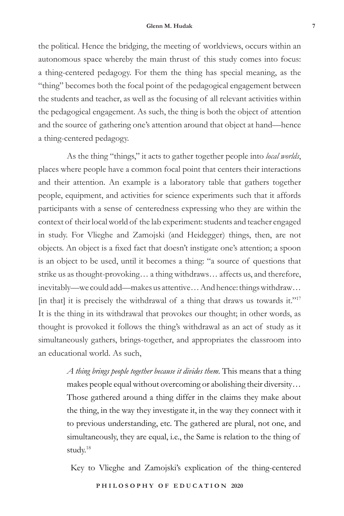the political. Hence the bridging, the meeting of worldviews, occurs within an autonomous space whereby the main thrust of this study comes into focus: a thing-centered pedagogy. For them the thing has special meaning, as the "thing" becomes both the focal point of the pedagogical engagement between the students and teacher, as well as the focusing of all relevant activities within the pedagogical engagement. As such, the thing is both the object of attention and the source of gathering one's attention around that object at hand—hence a thing-centered pedagogy.

As the thing "things," it acts to gather together people into *local worlds*, places where people have a common focal point that centers their interactions and their attention. An example is a laboratory table that gathers together people, equipment, and activities for science experiments such that it affords participants with a sense of centeredness expressing who they are within the context of their local world of the lab experiment: students and teacher engaged in study. For Vlieghe and Zamojski (and Heidegger) things, then, are not objects. An object is a fixed fact that doesn't instigate one's attention; a spoon is an object to be used, until it becomes a thing: "a source of questions that strike us as thought-provoking… a thing withdraws… affects us, and therefore, inevitably—we could add—makes us attentive… And hence: things withdraw… [in that] it is precisely the withdrawal of a thing that draws us towards it."<sup>17</sup> It is the thing in its withdrawal that provokes our thought; in other words, as thought is provoked it follows the thing's withdrawal as an act of study as it simultaneously gathers, brings-together, and appropriates the classroom into an educational world. As such,

> *A thing brings people together because it divides them*. This means that a thing makes people equal without overcoming or abolishing their diversity… Those gathered around a thing differ in the claims they make about the thing, in the way they investigate it, in the way they connect with it to previous understanding, etc. The gathered are plural, not one, and simultaneously, they are equal, i.e., the Same is relation to the thing of study.18

Key to Vlieghe and Zamojski's explication of the thing-centered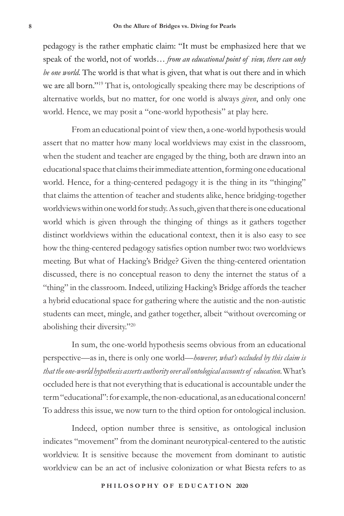pedagogy is the rather emphatic claim: "It must be emphasized here that we speak of the world, not of worlds… *from an educational point of view, there can only be one world.* The world is that what is given, that what is out there and in which we are all born."19 That is, ontologically speaking there may be descriptions of alternative worlds, but no matter, for one world is always *given*, and only one world. Hence, we may posit a "one-world hypothesis" at play here.

From an educational point of view then, a one-world hypothesis would assert that no matter how many local worldviews may exist in the classroom, when the student and teacher are engaged by the thing, both are drawn into an educational space that claims their immediate attention, forming one educational world. Hence, for a thing-centered pedagogy it is the thing in its "thinging" that claims the attention of teacher and students alike, hence bridging-together worldviews within one world for study. As such, given that there is one educational world which is given through the thinging of things as it gathers together distinct worldviews within the educational context, then it is also easy to see how the thing-centered pedagogy satisfies option number two: two worldviews meeting. But what of Hacking's Bridge? Given the thing-centered orientation discussed, there is no conceptual reason to deny the internet the status of a "thing" in the classroom. Indeed, utilizing Hacking's Bridge affords the teacher a hybrid educational space for gathering where the autistic and the non-autistic students can meet, mingle, and gather together, albeit "without overcoming or abolishing their diversity."20

In sum, the one-world hypothesis seems obvious from an educational perspective—as in, there is only one world—*however, what's occluded by this claim is that the one-world hypothesis asserts authority over all ontological accounts of education*. What's occluded here is that not everything that is educational is accountable under the term "educational": for example, the non-educational, as an educational concern! To address this issue, we now turn to the third option for ontological inclusion.

Indeed, option number three is sensitive, as ontological inclusion indicates "movement" from the dominant neurotypical-centered to the autistic worldview. It is sensitive because the movement from dominant to autistic worldview can be an act of inclusive colonization or what Biesta refers to as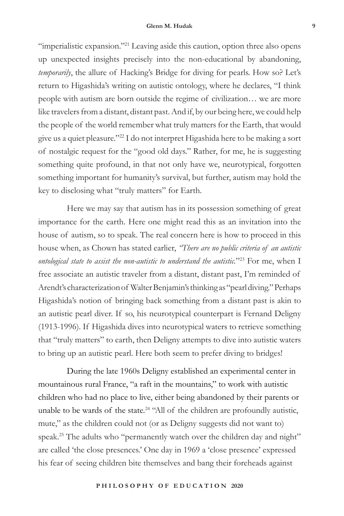"imperialistic expansion."<sup>21</sup> Leaving aside this caution, option three also opens up unexpected insights precisely into the non-educational by abandoning, *temporarily*, the allure of Hacking's Bridge for diving for pearls. How so? Let's return to Higashida's writing on autistic ontology, where he declares, "I think people with autism are born outside the regime of civilization… we are more like travelers from a distant, distant past. And if, by our being here, we could help the people of the world remember what truly matters for the Earth, that would give us a quiet pleasure."22 I do not interpret Higashida here to be making a sort of nostalgic request for the "good old days." Rather, for me, he is suggesting something quite profound, in that not only have we, neurotypical, forgotten something important for humanity's survival, but further, autism may hold the key to disclosing what "truly matters" for Earth.

Here we may say that autism has in its possession something of great importance for the earth. Here one might read this as an invitation into the house of autism, so to speak. The real concern here is how to proceed in this house when, as Chown has stated earlier, *"There are no public criteria of an autistic ontological state to assist the non-autistic to understand the autistic.*"23 For me, when I free associate an autistic traveler from a distant, distant past, I'm reminded of Arendt's characterization of Walter Benjamin's thinking as "pearl diving." Perhaps Higashida's notion of bringing back something from a distant past is akin to an autistic pearl diver. If so, his neurotypical counterpart is Fernand Deligny (1913-1996). If Higashida dives into neurotypical waters to retrieve something that "truly matters" to earth, then Deligny attempts to dive into autistic waters to bring up an autistic pearl. Here both seem to prefer diving to bridges!

During the late 1960s Deligny established an experimental center in mountainous rural France, "a raft in the mountains," to work with autistic children who had no place to live, either being abandoned by their parents or unable to be wards of the state.<sup>24</sup> "All of the children are profoundly autistic, mute," as the children could not (or as Deligny suggests did not want to) speak.<sup>25</sup> The adults who "permanently watch over the children day and night" are called 'the close presences.' One day in 1969 a 'close presence' expressed his fear of seeing children bite themselves and bang their foreheads against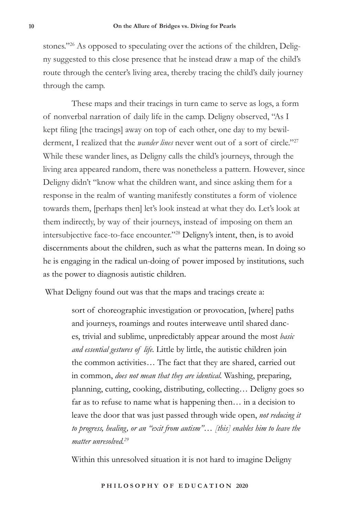stones."<sup>26</sup> As opposed to speculating over the actions of the children, Deligny suggested to this close presence that he instead draw a map of the child's route through the center's living area, thereby tracing the child's daily journey through the camp.

These maps and their tracings in turn came to serve as logs, a form of nonverbal narration of daily life in the camp. Deligny observed, "As I kept filing [the tracings] away on top of each other, one day to my bewilderment, I realized that the *wander lines* never went out of a sort of circle."<sup>27</sup> While these wander lines, as Deligny calls the child's journeys, through the living area appeared random, there was nonetheless a pattern. However, since Deligny didn't "know what the children want, and since asking them for a response in the realm of wanting manifestly constitutes a form of violence towards them, [perhaps then] let's look instead at what they do. Let's look at them indirectly, by way of their journeys, instead of imposing on them an intersubjective face-to-face encounter."28 Deligny's intent, then, is to avoid discernments about the children, such as what the patterns mean. In doing so he is engaging in the radical un-doing of power imposed by institutions, such as the power to diagnosis autistic children.

What Deligny found out was that the maps and tracings create a:

sort of choreographic investigation or provocation, [where] paths and journeys, roamings and routes interweave until shared dances, trivial and sublime, unpredictably appear around the most *basic and essential gestures of life.* Little by little, the autistic children join the common activities… The fact that they are shared, carried out in common, *does not mean that they are identical.* Washing, preparing, planning, cutting, cooking, distributing, collecting… Deligny goes so far as to refuse to name what is happening then… in a decision to leave the door that was just passed through wide open, *not reducing it to progress, healing, or an "exit from autism"… [this] enables him to leave the matter unresolved.29*

Within this unresolved situation it is not hard to imagine Deligny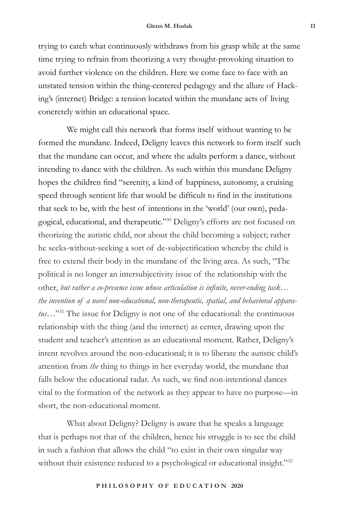trying to catch what continuously withdraws from his grasp while at the same time trying to refrain from theorizing a very thought-provoking situation to avoid further violence on the children. Here we come face to face with an unstated tension within the thing-centered pedagogy and the allure of Hacking's (internet) Bridge: a tension located within the mundane acts of living concretely within an educational space.

We might call this network that forms itself without wanting to be formed the mundane. Indeed, Deligny leaves this network to form itself such that the mundane can occur, and where the adults perform a dance, without intending to dance with the children. As such within this mundane Deligny hopes the children find "serenity, a kind of happiness, autonomy, a cruising speed through sentient life that would be difficult to find in the institutions that seek to be, with the best of intentions in the 'world' (our own), pedagogical, educational, and therapeutic."30 Deligny's efforts are not focused on theorizing the autistic child, nor about the child becoming a subject; rather he seeks-without-seeking a sort of de-subjectification whereby the child is free to extend their body in the mundane of the living area. As such, "The political is no longer an intersubjectivity issue of the relationship with the other, *but rather a co-presence issue whose articulation is infinite, never-ending task… the invention of a novel non-educational, non-therapeutic, spatial, and behavioral apparatus*…"31 The issue for Deligny is not one of the educational: the continuous relationship with the thing (and the internet) as center, drawing upon the student and teacher's attention as an educational moment. Rather, Deligny's intent revolves around the non-educational; it is to liberate the autistic child's attention from *the* thing to things in her everyday world, the mundane that falls below the educational radar. As such, we find non-intentional dances vital to the formation of the network as they appear to have no purpose—in short, the non-educational moment.

What about Deligny? Deligny is aware that he speaks a language that is perhaps not that of the children, hence his struggle is to see the child in such a fashion that allows the child "to exist in their own singular way without their existence reduced to a psychological or educational insight."32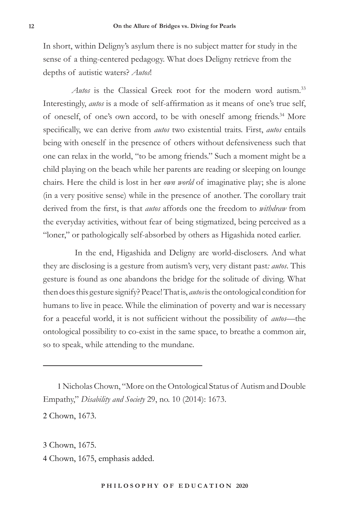In short, within Deligny's asylum there is no subject matter for study in the sense of a thing-centered pedagogy. What does Deligny retrieve from the depths of autistic waters? *Autos*!

*Autos* is the Classical Greek root for the modern word autism.<sup>33</sup> Interestingly, *autos* is a mode of self-affirmation as it means of one's true self, of oneself, of one's own accord, to be with oneself among friends.<sup>34</sup> More specifically, we can derive from *autos* two existential traits. First, *autos* entails being with oneself in the presence of others without defensiveness such that one can relax in the world, "to be among friends." Such a moment might be a child playing on the beach while her parents are reading or sleeping on lounge chairs. Here the child is lost in her *own world* of imaginative play; she is alone (in a very positive sense) while in the presence of another. The corollary trait derived from the first, is that *autos* affords one the freedom to *withdraw* from the everyday activities, without fear of being stigmatized, being perceived as a "loner," or pathologically self-absorbed by others as Higashida noted earlier.

 In the end, Higashida and Deligny are world-disclosers. And what they are disclosing is a gesture from autism's very, very distant past*: autos*. This gesture is found as one abandons the bridge for the solitude of diving. What then does this gesture signify? Peace! That is, *autos* is the ontological condition for humans to live in peace. While the elimination of poverty and war is necessary for a peaceful world, it is not sufficient without the possibility of *autos*—the ontological possibility to co-exist in the same space, to breathe a common air, so to speak, while attending to the mundane.

1 Nicholas Chown, "More on the Ontological Status of Autism and Double Empathy," *Disability and Society* 29, no. 10 (2014): 1673.

2 Chown, 1673.

3 Chown, 1675.

4 Chown, 1675, emphasis added.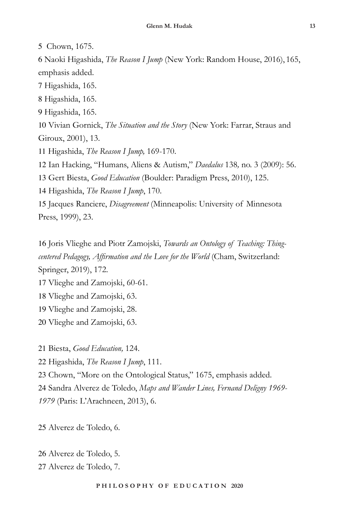Chown, 1675.

 Naoki Higashida, *The Reason I Jump* (New York: Random House, 2016), 165, emphasis added.

Higashida, 165.

Higashida, 165.

Higashida, 165.

 Vivian Gornick, *The Situation and the Story* (New York: Farrar, Straus and Giroux, 2001), 13.

Higashida, *The Reason I Jump,* 169-170.

Ian Hacking, "Humans, Aliens & Autism," *Daedalus* 138*,* no. 3 (2009): 56.

Gert Biesta, *Good Education* (Boulder: Paradigm Press, 2010), 125.

Higashida, *The Reason I Jump*, 170.

 Jacques Ranciere, *Disagreement* (Minneapolis: University of Minnesota Press, 1999), 23.

 Joris Vlieghe and Piotr Zamojski, *Towards an Ontology of Teaching: Thingcentered Pedagogy, Affirmation and the Love for the World* (Cham, Switzerland: Springer, 2019), 172.

Vlieghe and Zamojski, 60-61.

Vlieghe and Zamojski, 63.

Vlieghe and Zamojski, 28.

Vlieghe and Zamojski, 63.

Biesta, *Good Education,* 124.

Higashida, *The Reason I Jump*, 111.

Chown, "More on the Ontological Status," 1675, emphasis added.

Sandra Alverez de Toledo, *Maps and Wander Lines, Fernand Deligny 1969-*

(Paris: L'Arachneen, 2013), 6.

Alverez de Toledo, 6.

 Alverez de Toledo, 5. Alverez de Toledo, 7.